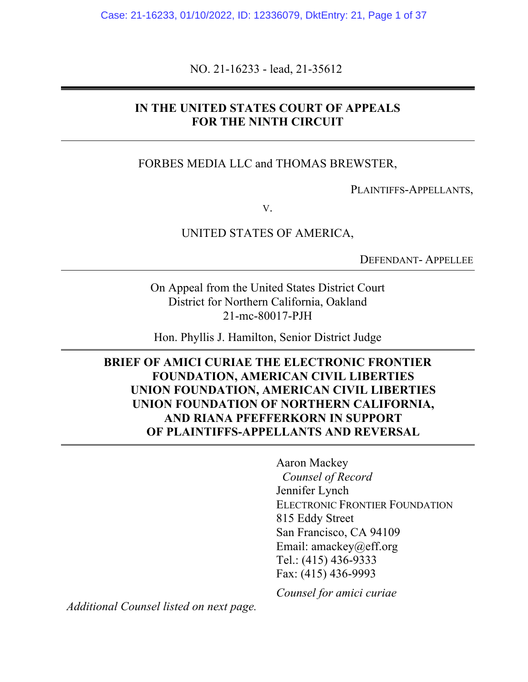NO. 21-16233 - lead, 21-35612

### **IN THE UNITED STATES COURT OF APPEALS FOR THE NINTH CIRCUIT**

#### FORBES MEDIA LLC and THOMAS BREWSTER,

PLAINTIFFS-APPELLANTS,

V.

UNITED STATES OF AMERICA,

DEFENDANT- APPELLEE

On Appeal from the United States District Court District for Northern California, Oakland 21-mc-80017-PJH

Hon. Phyllis J. Hamilton, Senior District Judge

**BRIEF OF AMICI CURIAE THE ELECTRONIC FRONTIER FOUNDATION, AMERICAN CIVIL LIBERTIES UNION FOUNDATION, AMERICAN CIVIL LIBERTIES UNION FOUNDATION OF NORTHERN CALIFORNIA, AND RIANA PFEFFERKORN IN SUPPORT OF PLAINTIFFS-APPELLANTS AND REVERSAL**

> Aaron Mackey *Counsel of Record* Jennifer Lynch ELECTRONIC FRONTIER FOUNDATION 815 Eddy Street San Francisco, CA 94109 Email: amackey@eff.org Tel.: (415) 436-9333 Fax: (415) 436-9993

*Counsel for amici curiae*

*Additional Counsel listed on next page.*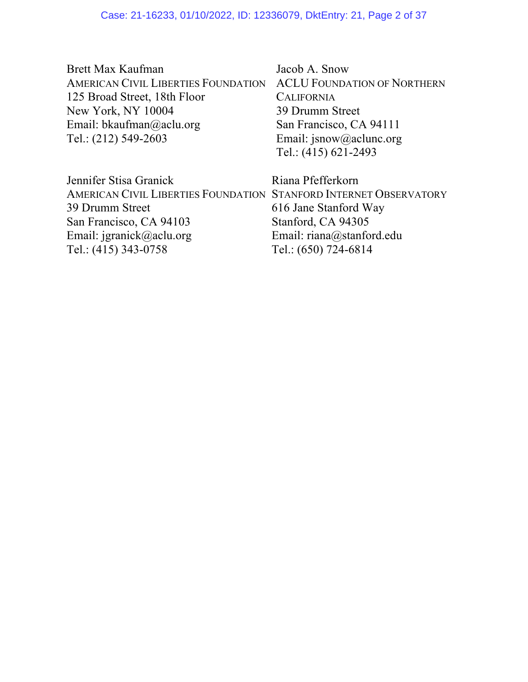| Jacob A. Snow                                                   |
|-----------------------------------------------------------------|
| AMERICAN CIVIL LIBERTIES FOUNDATION ACLU FOUNDATION OF NORTHERN |
| <b>CALIFORNIA</b>                                               |
| 39 Drumm Street                                                 |
| San Francisco, CA 94111                                         |
| Email: jsnow@aclunc.org                                         |
| Tel.: $(415)$ 621-2493                                          |
|                                                                 |

| Jennifer Stisa Granick                                            | Riana Pfefferkorn         |
|-------------------------------------------------------------------|---------------------------|
| AMERICAN CIVIL LIBERTIES FOUNDATION STANFORD INTERNET OBSERVATORY |                           |
| 39 Drumm Street                                                   | 616 Jane Stanford Way     |
| San Francisco, CA 94103                                           | Stanford, CA 94305        |
| Email: jgranick@aclu.org                                          | Email: riana@stanford.edu |
| Tel.: (415) 343-0758                                              | Tel.: (650) 724-6814      |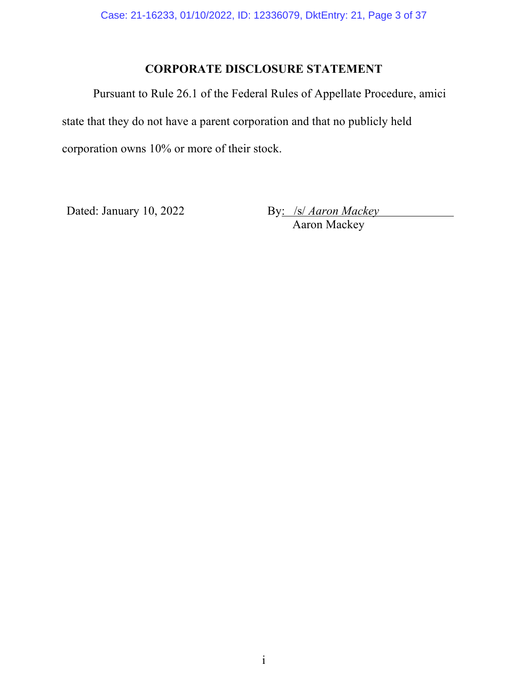# **CORPORATE DISCLOSURE STATEMENT**

Pursuant to Rule 26.1 of the Federal Rules of Appellate Procedure, amici state that they do not have a parent corporation and that no publicly held corporation owns 10% or more of their stock.

Dated: January 10, 2022

By: /s/ Aaron Mackey<br>Aaron Mackey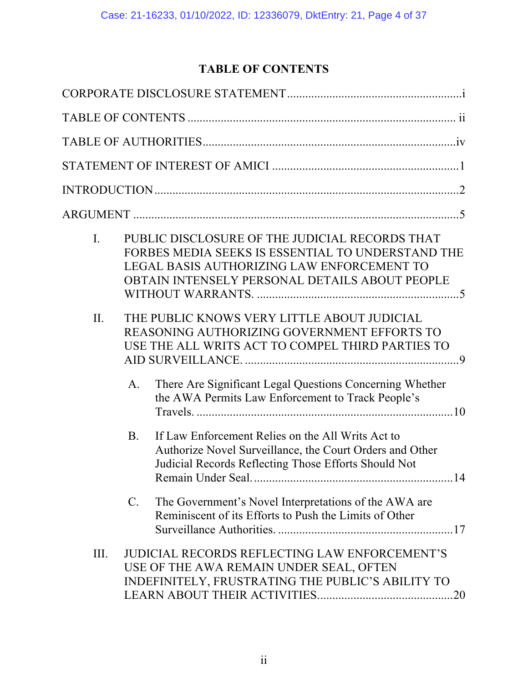# **TABLE OF CONTENTS**

| $\mathbf{I}$ . | PUBLIC DISCLOSURE OF THE JUDICIAL RECORDS THAT<br>FORBES MEDIA SEEKS IS ESSENTIAL TO UNDERSTAND THE<br>LEGAL BASIS AUTHORIZING LAW ENFORCEMENT TO<br>OBTAIN INTENSELY PERSONAL DETAILS ABOUT PEOPLE |
|----------------|-----------------------------------------------------------------------------------------------------------------------------------------------------------------------------------------------------|
| II.            | THE PUBLIC KNOWS VERY LITTLE ABOUT JUDICIAL<br>REASONING AUTHORIZING GOVERNMENT EFFORTS TO<br>USE THE ALL WRITS ACT TO COMPEL THIRD PARTIES TO                                                      |
|                | There Are Significant Legal Questions Concerning Whether<br>A.<br>the AWA Permits Law Enforcement to Track People's                                                                                 |
|                | <b>B.</b><br>If Law Enforcement Relies on the All Writs Act to<br>Authorize Novel Surveillance, the Court Orders and Other<br>Judicial Records Reflecting Those Efforts Should Not                  |
|                | The Government's Novel Interpretations of the AWA are<br>$C_{\cdot}$<br>Reminiscent of its Efforts to Push the Limits of Other                                                                      |
| III.           | <b>JUDICIAL RECORDS REFLECTING LAW ENFORCEMENT'S</b><br>USE OF THE AWA REMAIN UNDER SEAL, OFTEN<br>INDEFINITELY, FRUSTRATING THE PUBLIC'S ABILITY TO                                                |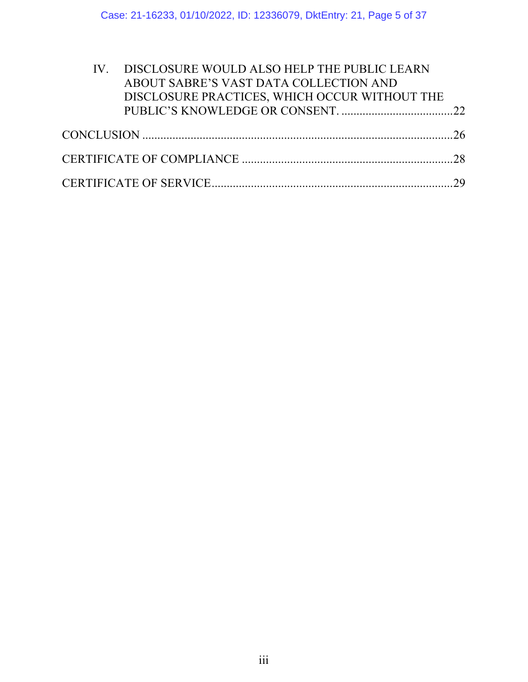| IV. DISCLOSURE WOULD ALSO HELP THE PUBLIC LEARN<br>ABOUT SABRE'S VAST DATA COLLECTION AND<br>DISCLOSURE PRACTICES, WHICH OCCUR WITHOUT THE |  |
|--------------------------------------------------------------------------------------------------------------------------------------------|--|
|                                                                                                                                            |  |
|                                                                                                                                            |  |
|                                                                                                                                            |  |
|                                                                                                                                            |  |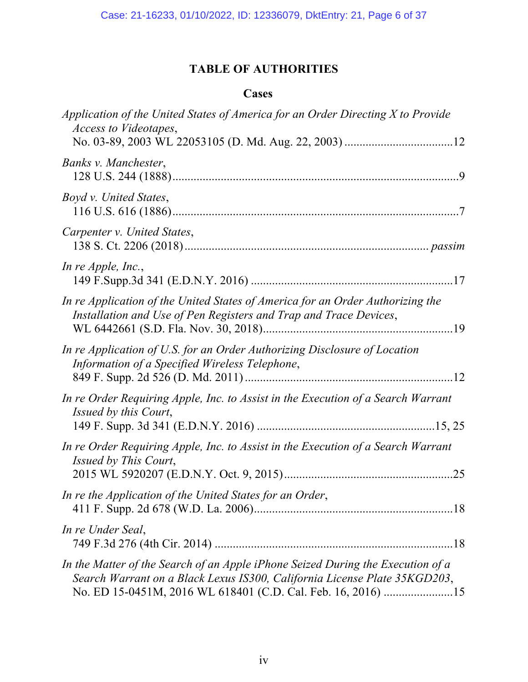# **TABLE OF AUTHORITIES**

# **Cases**

| Application of the United States of America for an Order Directing X to Provide<br><i>Access to Videotapes,</i>                                                                                                              |
|------------------------------------------------------------------------------------------------------------------------------------------------------------------------------------------------------------------------------|
| Banks v. Manchester,                                                                                                                                                                                                         |
| Boyd v. United States,                                                                                                                                                                                                       |
| Carpenter v. United States,                                                                                                                                                                                                  |
| In re Apple, Inc.,                                                                                                                                                                                                           |
| In re Application of the United States of America for an Order Authorizing the<br>Installation and Use of Pen Registers and Trap and Trace Devices,                                                                          |
| In re Application of U.S. for an Order Authorizing Disclosure of Location<br>Information of a Specified Wireless Telephone,                                                                                                  |
| In re Order Requiring Apple, Inc. to Assist in the Execution of a Search Warrant<br>Issued by this Court,                                                                                                                    |
| In re Order Requiring Apple, Inc. to Assist in the Execution of a Search Warrant<br>Issued by This Court,                                                                                                                    |
| In re the Application of the United States for an Order,                                                                                                                                                                     |
| In re Under Seal,                                                                                                                                                                                                            |
| In the Matter of the Search of an Apple iPhone Seized During the Execution of a<br>Search Warrant on a Black Lexus IS300, California License Plate 35KGD203,<br>No. ED 15-0451M, 2016 WL 618401 (C.D. Cal. Feb. 16, 2016) 15 |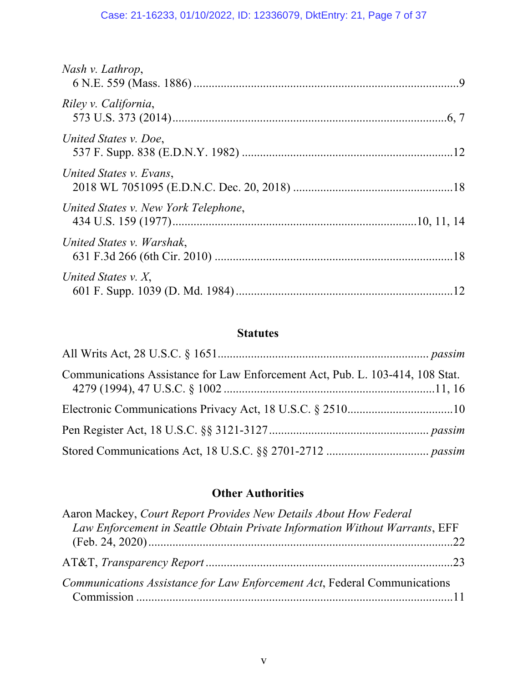# Case: 21-16233, 01/10/2022, ID: 12336079, DktEntry: 21, Page 7 of 37

| Nash v. Lathrop,                     |  |
|--------------------------------------|--|
| Riley v. California,                 |  |
| United States v. Doe,                |  |
| United States v. Evans,              |  |
| United States v. New York Telephone, |  |
| United States v. Warshak,            |  |
| United States $v. X$ ,               |  |

# **Statutes**

| Communications Assistance for Law Enforcement Act, Pub. L. 103-414, 108 Stat. |  |
|-------------------------------------------------------------------------------|--|
|                                                                               |  |
|                                                                               |  |
|                                                                               |  |

# **Other Authorities**

| Aaron Mackey, Court Report Provides New Details About How Federal           |  |
|-----------------------------------------------------------------------------|--|
| Law Enforcement in Seattle Obtain Private Information Without Warrants, EFF |  |
|                                                                             |  |
|                                                                             |  |
| Communications Assistance for Law Enforcement Act, Federal Communications   |  |
|                                                                             |  |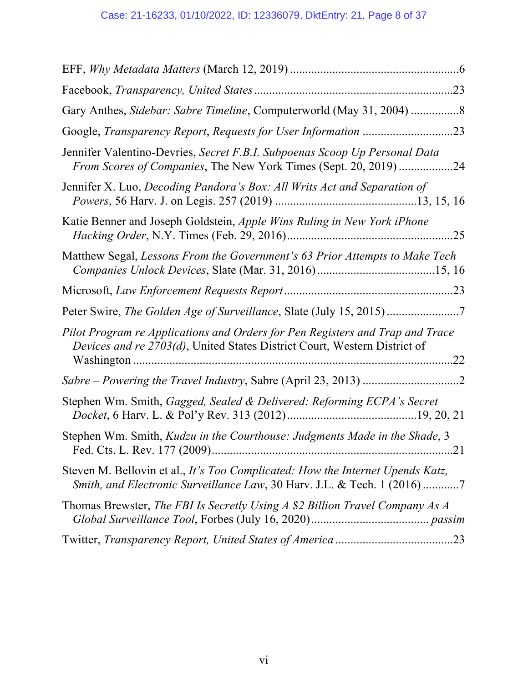| Jennifer Valentino-Devries, Secret F.B.I. Subpoenas Scoop Up Personal Data<br>From Scores of Companies, The New York Times (Sept. 20, 2019)24              |
|------------------------------------------------------------------------------------------------------------------------------------------------------------|
| Jennifer X. Luo, Decoding Pandora's Box: All Writs Act and Separation of                                                                                   |
| Katie Benner and Joseph Goldstein, Apple Wins Ruling in New York iPhone                                                                                    |
| Matthew Segal, Lessons From the Government's 63 Prior Attempts to Make Tech                                                                                |
|                                                                                                                                                            |
| Peter Swire, The Golden Age of Surveillance, Slate (July 15, 2015)                                                                                         |
| Pilot Program re Applications and Orders for Pen Registers and Trap and Trace<br>Devices and re 2703(d), United States District Court, Western District of |
|                                                                                                                                                            |
| Stephen Wm. Smith, Gagged, Sealed & Delivered: Reforming ECPA's Secret                                                                                     |
| Stephen Wm. Smith, Kudzu in the Courthouse: Judgments Made in the Shade, 3                                                                                 |
| Steven M. Bellovin et al., It's Too Complicated: How the Internet Upends Katz,<br>Smith, and Electronic Surveillance Law, 30 Harv. J.L. & Tech. 1 (2016) 7 |
| Thomas Brewster, The FBI Is Secretly Using A \$2 Billion Travel Company As A                                                                               |
|                                                                                                                                                            |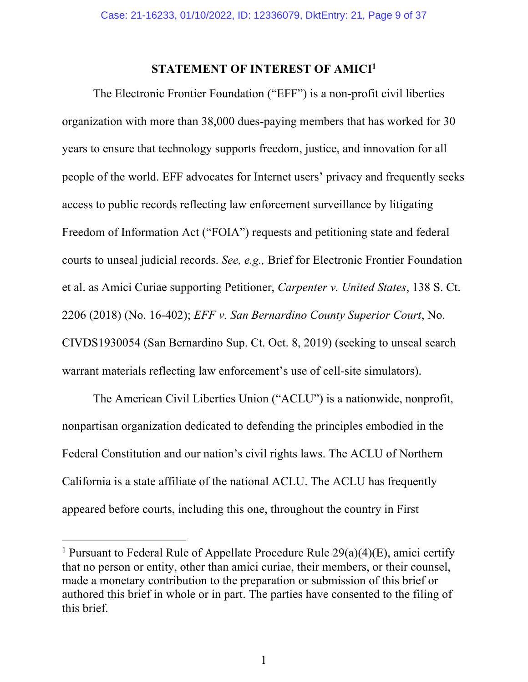#### **STATEMENT OF INTEREST OF AMICI1**

The Electronic Frontier Foundation ("EFF") is a non-profit civil liberties organization with more than 38,000 dues-paying members that has worked for 30 years to ensure that technology supports freedom, justice, and innovation for all people of the world. EFF advocates for Internet users' privacy and frequently seeks access to public records reflecting law enforcement surveillance by litigating Freedom of Information Act ("FOIA") requests and petitioning state and federal courts to unseal judicial records. *See, e.g.,* Brief for Electronic Frontier Foundation et al. as Amici Curiae supporting Petitioner, *Carpenter v. United States*, 138 S. Ct. 2206 (2018) (No. 16-402); *EFF v. San Bernardino County Superior Court*, No. CIVDS1930054 (San Bernardino Sup. Ct. Oct. 8, 2019) (seeking to unseal search warrant materials reflecting law enforcement's use of cell-site simulators).

The American Civil Liberties Union ("ACLU") is a nationwide, nonprofit, nonpartisan organization dedicated to defending the principles embodied in the Federal Constitution and our nation's civil rights laws. The ACLU of Northern California is a state affiliate of the national ACLU. The ACLU has frequently appeared before courts, including this one, throughout the country in First

1

<sup>&</sup>lt;sup>1</sup> Pursuant to Federal Rule of Appellate Procedure Rule  $29(a)(4)(E)$ , amici certify that no person or entity, other than amici curiae, their members, or their counsel, made a monetary contribution to the preparation or submission of this brief or authored this brief in whole or in part. The parties have consented to the filing of this brief.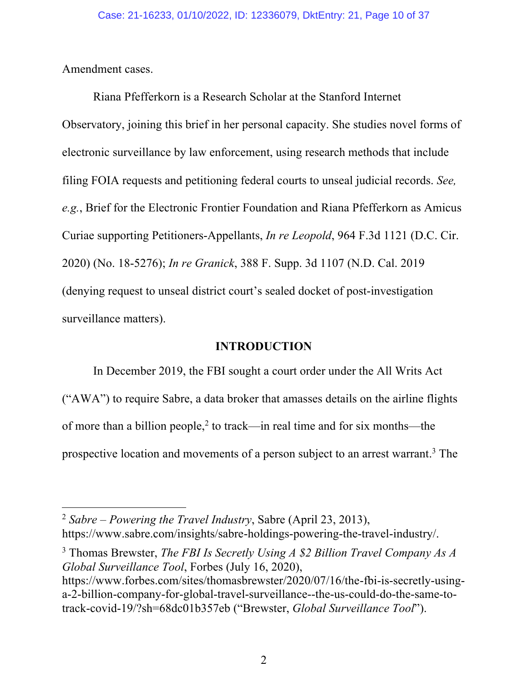Amendment cases.

Riana Pfefferkorn is a Research Scholar at the Stanford Internet Observatory, joining this brief in her personal capacity. She studies novel forms of electronic surveillance by law enforcement, using research methods that include filing FOIA requests and petitioning federal courts to unseal judicial records. *See, e.g.*, Brief for the Electronic Frontier Foundation and Riana Pfefferkorn as Amicus Curiae supporting Petitioners-Appellants, *In re Leopold*, 964 F.3d 1121 (D.C. Cir. 2020) (No. 18-5276); *In re Granick*, 388 F. Supp. 3d 1107 (N.D. Cal. 2019 (denying request to unseal district court's sealed docket of post-investigation surveillance matters).

#### **INTRODUCTION**

In December 2019, the FBI sought a court order under the All Writs Act ("AWA") to require Sabre, a data broker that amasses details on the airline flights of more than a billion people,<sup>2</sup> to track—in real time and for six months—the prospective location and movements of a person subject to an arrest warrant.<sup>3</sup> The

<sup>3</sup> Thomas Brewster, *The FBI Is Secretly Using A \$2 Billion Travel Company As A Global Surveillance Tool*, Forbes (July 16, 2020), https://www.forbes.com/sites/thomasbrewster/2020/07/16/the-fbi-is-secretly-usinga-2-billion-company-for-global-travel-surveillance--the-us-could-do-the-same-totrack-covid-19/?sh=68dc01b357eb ("Brewster, *Global Surveillance Tool*").

<sup>2</sup> *Sabre – Powering the Travel Industry*, Sabre (April 23, 2013), https://www.sabre.com/insights/sabre-holdings-powering-the-travel-industry/.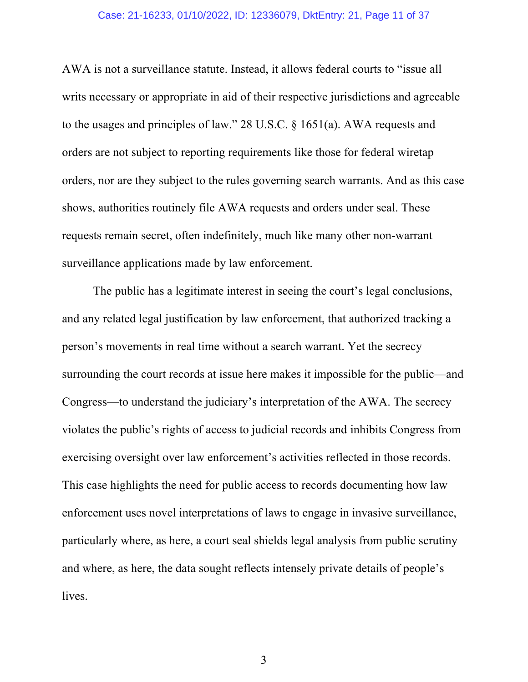#### Case: 21-16233, 01/10/2022, ID: 12336079, DktEntry: 21, Page 11 of 37

AWA is not a surveillance statute. Instead, it allows federal courts to "issue all writs necessary or appropriate in aid of their respective jurisdictions and agreeable to the usages and principles of law." 28 U.S.C. § 1651(a). AWA requests and orders are not subject to reporting requirements like those for federal wiretap orders, nor are they subject to the rules governing search warrants. And as this case shows, authorities routinely file AWA requests and orders under seal. These requests remain secret, often indefinitely, much like many other non-warrant surveillance applications made by law enforcement.

The public has a legitimate interest in seeing the court's legal conclusions, and any related legal justification by law enforcement, that authorized tracking a person's movements in real time without a search warrant. Yet the secrecy surrounding the court records at issue here makes it impossible for the public—and Congress—to understand the judiciary's interpretation of the AWA. The secrecy violates the public's rights of access to judicial records and inhibits Congress from exercising oversight over law enforcement's activities reflected in those records. This case highlights the need for public access to records documenting how law enforcement uses novel interpretations of laws to engage in invasive surveillance, particularly where, as here, a court seal shields legal analysis from public scrutiny and where, as here, the data sought reflects intensely private details of people's lives.

3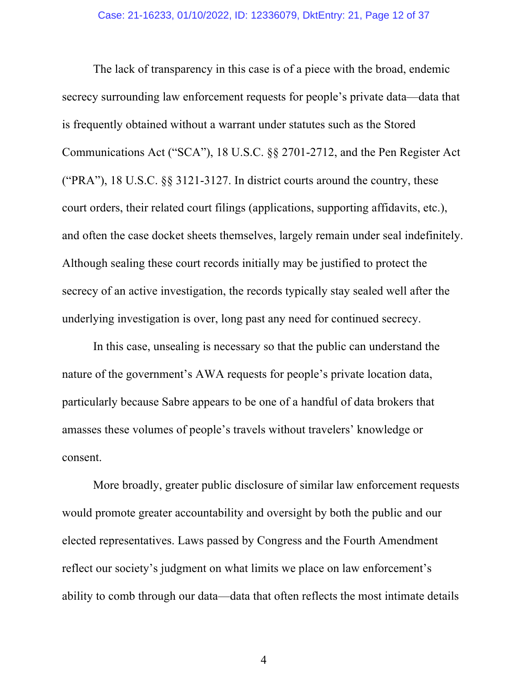The lack of transparency in this case is of a piece with the broad, endemic secrecy surrounding law enforcement requests for people's private data—data that is frequently obtained without a warrant under statutes such as the Stored Communications Act ("SCA"), 18 U.S.C. §§ 2701-2712, and the Pen Register Act ("PRA"), 18 U.S.C.  $\S$  3121-3127. In district courts around the country, these court orders, their related court filings (applications, supporting affidavits, etc.), and often the case docket sheets themselves, largely remain under seal indefinitely. Although sealing these court records initially may be justified to protect the secrecy of an active investigation, the records typically stay sealed well after the underlying investigation is over, long past any need for continued secrecy.

In this case, unsealing is necessary so that the public can understand the nature of the government's AWA requests for people's private location data, particularly because Sabre appears to be one of a handful of data brokers that amasses these volumes of people's travels without travelers' knowledge or consent.

More broadly, greater public disclosure of similar law enforcement requests would promote greater accountability and oversight by both the public and our elected representatives. Laws passed by Congress and the Fourth Amendment reflect our society's judgment on what limits we place on law enforcement's ability to comb through our data—data that often reflects the most intimate details

4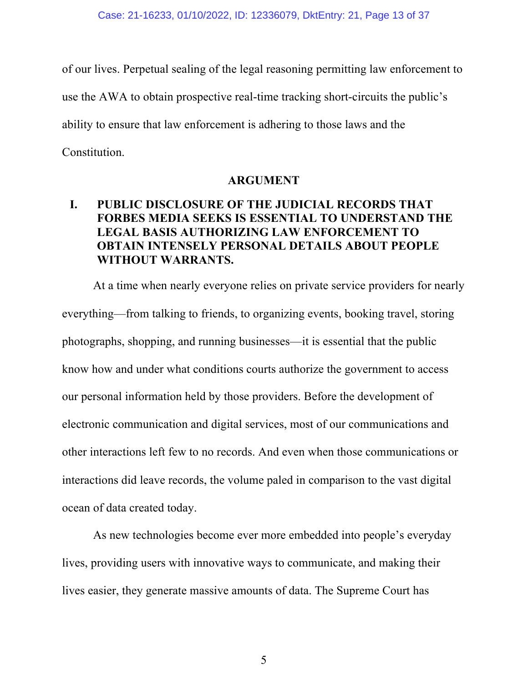of our lives. Perpetual sealing of the legal reasoning permitting law enforcement to use the AWA to obtain prospective real-time tracking short-circuits the public's ability to ensure that law enforcement is adhering to those laws and the Constitution.

#### **ARGUMENT**

### **I. PUBLIC DISCLOSURE OF THE JUDICIAL RECORDS THAT FORBES MEDIA SEEKS IS ESSENTIAL TO UNDERSTAND THE LEGAL BASIS AUTHORIZING LAW ENFORCEMENT TO OBTAIN INTENSELY PERSONAL DETAILS ABOUT PEOPLE WITHOUT WARRANTS.**

At a time when nearly everyone relies on private service providers for nearly everything—from talking to friends, to organizing events, booking travel, storing photographs, shopping, and running businesses—it is essential that the public know how and under what conditions courts authorize the government to access our personal information held by those providers. Before the development of electronic communication and digital services, most of our communications and other interactions left few to no records. And even when those communications or interactions did leave records, the volume paled in comparison to the vast digital ocean of data created today.

As new technologies become ever more embedded into people's everyday lives, providing users with innovative ways to communicate, and making their lives easier, they generate massive amounts of data. The Supreme Court has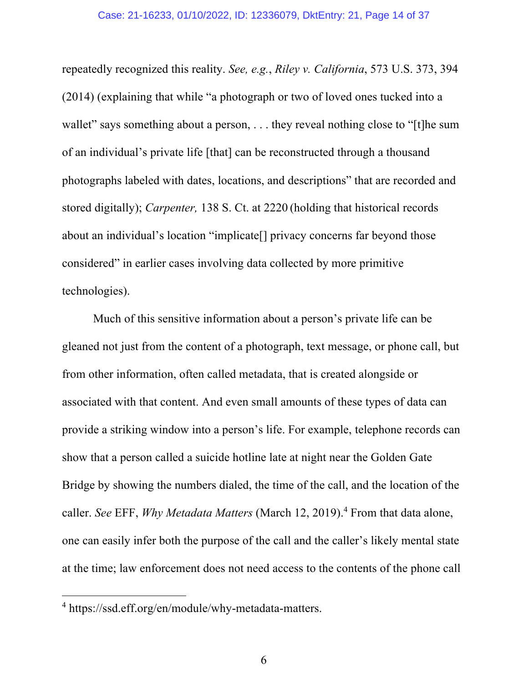repeatedly recognized this reality. *See, e.g.*, *Riley v. California*, 573 U.S. 373, 394 (2014) (explaining that while "a photograph or two of loved ones tucked into a wallet" says something about a person, . . . they reveal nothing close to "[t]he sum of an individual's private life [that] can be reconstructed through a thousand photographs labeled with dates, locations, and descriptions" that are recorded and stored digitally); *Carpenter,* 138 S. Ct. at 2220 (holding that historical records about an individual's location "implicate[] privacy concerns far beyond those considered" in earlier cases involving data collected by more primitive technologies).

Much of this sensitive information about a person's private life can be gleaned not just from the content of a photograph, text message, or phone call, but from other information, often called metadata, that is created alongside or associated with that content. And even small amounts of these types of data can provide a striking window into a person's life. For example, telephone records can show that a person called a suicide hotline late at night near the Golden Gate Bridge by showing the numbers dialed, the time of the call, and the location of the caller. *See* EFF, *Why Metadata Matters* (March 12, 2019). <sup>4</sup> From that data alone, one can easily infer both the purpose of the call and the caller's likely mental state at the time; law enforcement does not need access to the contents of the phone call

<sup>4</sup> https://ssd.eff.org/en/module/why-metadata-matters.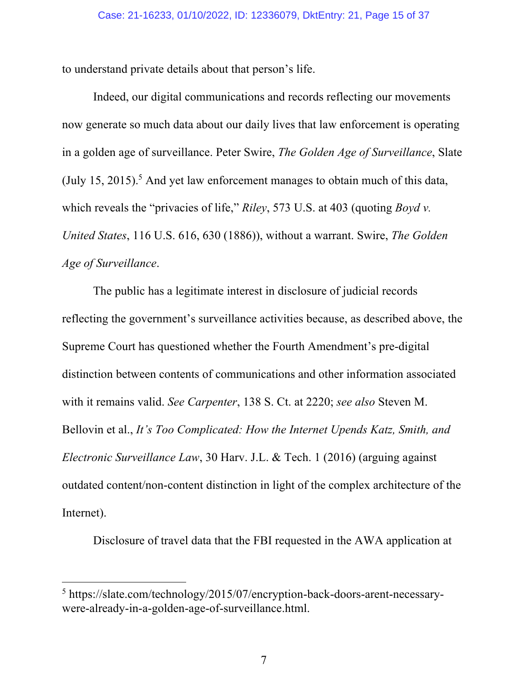to understand private details about that person's life.

Indeed, our digital communications and records reflecting our movements now generate so much data about our daily lives that law enforcement is operating in a golden age of surveillance. Peter Swire, *The Golden Age of Surveillance*, Slate (July 15, 2015). <sup>5</sup> And yet law enforcement manages to obtain much of this data, which reveals the "privacies of life," *Riley*, 573 U.S. at 403 (quoting *Boyd v. United States*, 116 U.S. 616, 630 (1886)), without a warrant. Swire, *The Golden Age of Surveillance*.

The public has a legitimate interest in disclosure of judicial records reflecting the government's surveillance activities because, as described above, the Supreme Court has questioned whether the Fourth Amendment's pre-digital distinction between contents of communications and other information associated with it remains valid. *See Carpenter*, 138 S. Ct. at 2220; *see also* Steven M. Bellovin et al., *It's Too Complicated: How the Internet Upends Katz, Smith, and Electronic Surveillance Law*, 30 Harv. J.L. & Tech. 1 (2016) (arguing against outdated content/non-content distinction in light of the complex architecture of the Internet).

Disclosure of travel data that the FBI requested in the AWA application at

<sup>5</sup> https://slate.com/technology/2015/07/encryption-back-doors-arent-necessarywere-already-in-a-golden-age-of-surveillance.html.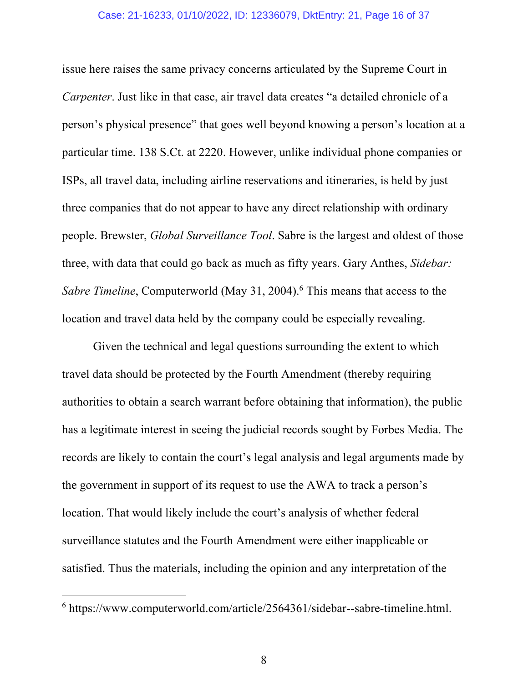#### Case: 21-16233, 01/10/2022, ID: 12336079, DktEntry: 21, Page 16 of 37

issue here raises the same privacy concerns articulated by the Supreme Court in *Carpenter*. Just like in that case, air travel data creates "a detailed chronicle of a person's physical presence" that goes well beyond knowing a person's location at a particular time. 138 S.Ct. at 2220. However, unlike individual phone companies or ISPs, all travel data, including airline reservations and itineraries, is held by just three companies that do not appear to have any direct relationship with ordinary people. Brewster, *Global Surveillance Tool*. Sabre is the largest and oldest of those three, with data that could go back as much as fifty years. Gary Anthes, *Sidebar: Sabre Timeline*, Computerworld (May 31, 2004). <sup>6</sup> This means that access to the location and travel data held by the company could be especially revealing.

Given the technical and legal questions surrounding the extent to which travel data should be protected by the Fourth Amendment (thereby requiring authorities to obtain a search warrant before obtaining that information), the public has a legitimate interest in seeing the judicial records sought by Forbes Media. The records are likely to contain the court's legal analysis and legal arguments made by the government in support of its request to use the AWA to track a person's location. That would likely include the court's analysis of whether federal surveillance statutes and the Fourth Amendment were either inapplicable or satisfied. Thus the materials, including the opinion and any interpretation of the

<sup>6</sup> https://www.computerworld.com/article/2564361/sidebar--sabre-timeline.html.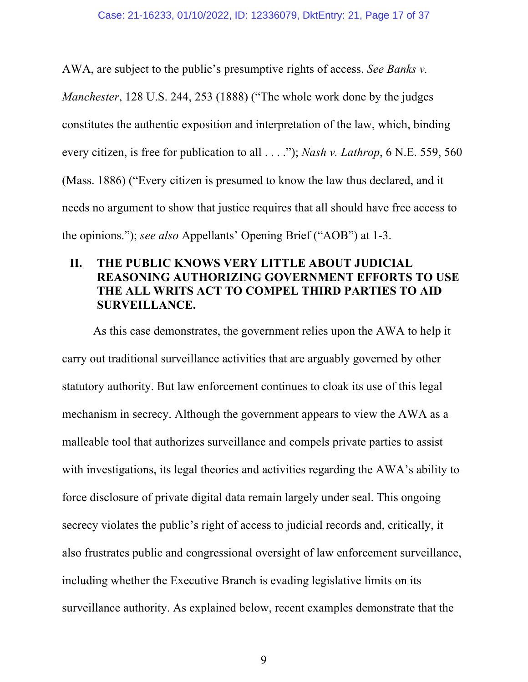AWA, are subject to the public's presumptive rights of access. *See Banks v. Manchester*, 128 U.S. 244, 253 (1888) ("The whole work done by the judges constitutes the authentic exposition and interpretation of the law, which, binding every citizen, is free for publication to all . . . ."); *Nash v. Lathrop*, 6 N.E. 559, 560 (Mass. 1886) ("Every citizen is presumed to know the law thus declared, and it needs no argument to show that justice requires that all should have free access to the opinions."); *see also* Appellants' Opening Brief ("AOB") at 1-3.

### **II. THE PUBLIC KNOWS VERY LITTLE ABOUT JUDICIAL REASONING AUTHORIZING GOVERNMENT EFFORTS TO USE THE ALL WRITS ACT TO COMPEL THIRD PARTIES TO AID SURVEILLANCE.**

As this case demonstrates, the government relies upon the AWA to help it carry out traditional surveillance activities that are arguably governed by other statutory authority. But law enforcement continues to cloak its use of this legal mechanism in secrecy. Although the government appears to view the AWA as a malleable tool that authorizes surveillance and compels private parties to assist with investigations, its legal theories and activities regarding the AWA's ability to force disclosure of private digital data remain largely under seal. This ongoing secrecy violates the public's right of access to judicial records and, critically, it also frustrates public and congressional oversight of law enforcement surveillance, including whether the Executive Branch is evading legislative limits on its surveillance authority. As explained below, recent examples demonstrate that the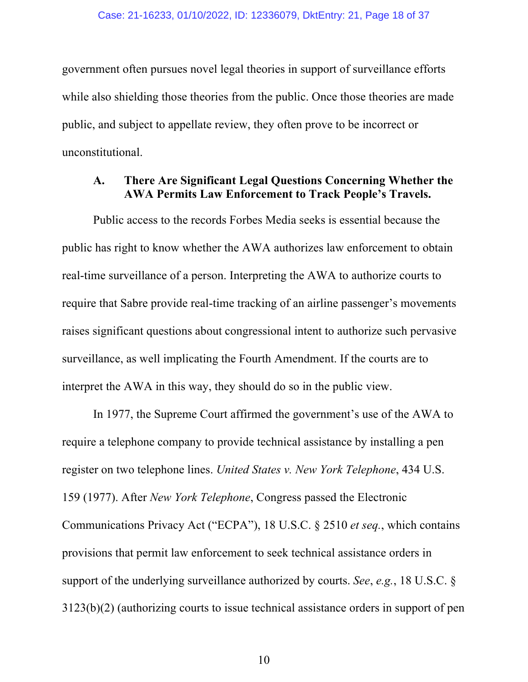government often pursues novel legal theories in support of surveillance efforts while also shielding those theories from the public. Once those theories are made public, and subject to appellate review, they often prove to be incorrect or unconstitutional.

#### **A. There Are Significant Legal Questions Concerning Whether the AWA Permits Law Enforcement to Track People's Travels.**

Public access to the records Forbes Media seeks is essential because the public has right to know whether the AWA authorizes law enforcement to obtain real-time surveillance of a person. Interpreting the AWA to authorize courts to require that Sabre provide real-time tracking of an airline passenger's movements raises significant questions about congressional intent to authorize such pervasive surveillance, as well implicating the Fourth Amendment. If the courts are to interpret the AWA in this way, they should do so in the public view.

In 1977, the Supreme Court affirmed the government's use of the AWA to require a telephone company to provide technical assistance by installing a pen register on two telephone lines. *United States v. New York Telephone*, 434 U.S. 159 (1977). After *New York Telephone*, Congress passed the Electronic Communications Privacy Act ("ECPA"), 18 U.S.C. § 2510 *et seq.*, which contains provisions that permit law enforcement to seek technical assistance orders in support of the underlying surveillance authorized by courts. *See*, *e.g.*, 18 U.S.C. § 3123(b)(2) (authorizing courts to issue technical assistance orders in support of pen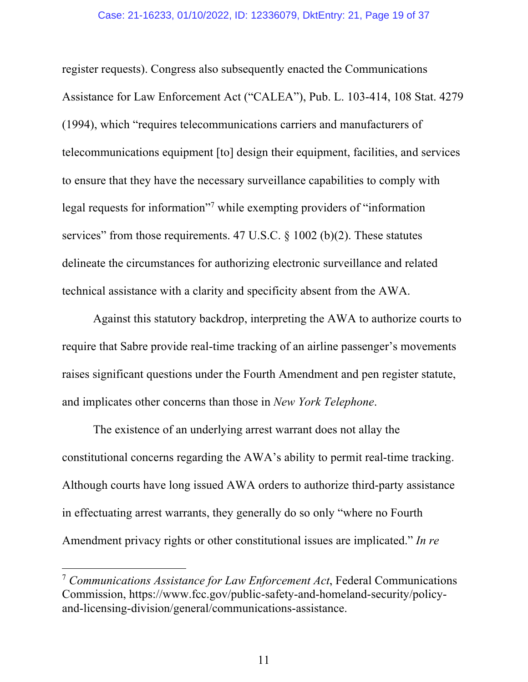#### Case: 21-16233, 01/10/2022, ID: 12336079, DktEntry: 21, Page 19 of 37

register requests). Congress also subsequently enacted the Communications Assistance for Law Enforcement Act ("CALEA"), Pub. L. 103-414, 108 Stat. 4279 (1994), which "requires telecommunications carriers and manufacturers of telecommunications equipment [to] design their equipment, facilities, and services to ensure that they have the necessary surveillance capabilities to comply with legal requests for information"7 while exempting providers of "information services" from those requirements. 47 U.S.C.  $\S$  1002 (b)(2). These statutes delineate the circumstances for authorizing electronic surveillance and related technical assistance with a clarity and specificity absent from the AWA.

Against this statutory backdrop, interpreting the AWA to authorize courts to require that Sabre provide real-time tracking of an airline passenger's movements raises significant questions under the Fourth Amendment and pen register statute, and implicates other concerns than those in *New York Telephone*.

The existence of an underlying arrest warrant does not allay the constitutional concerns regarding the AWA's ability to permit real-time tracking. Although courts have long issued AWA orders to authorize third-party assistance in effectuating arrest warrants, they generally do so only "where no Fourth Amendment privacy rights or other constitutional issues are implicated." *In re* 

<sup>7</sup> *Communications Assistance for Law Enforcement Act*, Federal Communications Commission, https://www.fcc.gov/public-safety-and-homeland-security/policyand-licensing-division/general/communications-assistance.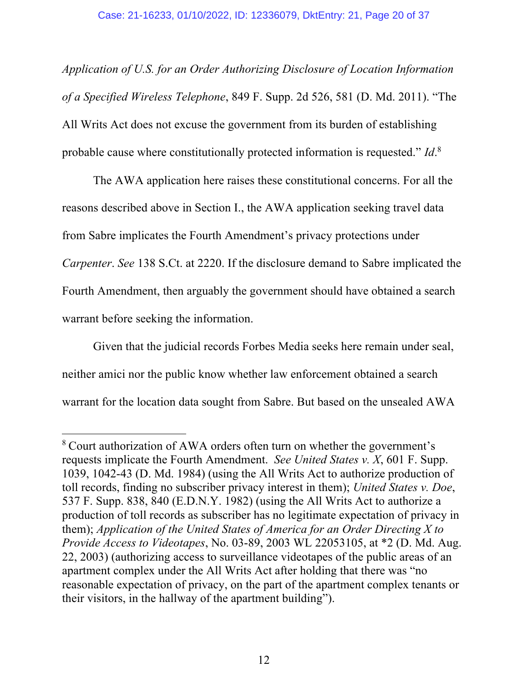*Application of U.S. for an Order Authorizing Disclosure of Location Information of a Specified Wireless Telephone*, 849 F. Supp. 2d 526, 581 (D. Md. 2011). "The All Writs Act does not excuse the government from its burden of establishing probable cause where constitutionally protected information is requested." *Id*. 8

The AWA application here raises these constitutional concerns. For all the reasons described above in Section I., the AWA application seeking travel data from Sabre implicates the Fourth Amendment's privacy protections under *Carpenter*. *See* 138 S.Ct. at 2220. If the disclosure demand to Sabre implicated the Fourth Amendment, then arguably the government should have obtained a search warrant before seeking the information.

Given that the judicial records Forbes Media seeks here remain under seal, neither amici nor the public know whether law enforcement obtained a search warrant for the location data sought from Sabre. But based on the unsealed AWA

<sup>8</sup> Court authorization of AWA orders often turn on whether the government's requests implicate the Fourth Amendment. *See United States v. X*, 601 F. Supp. 1039, 1042-43 (D. Md. 1984) (using the All Writs Act to authorize production of toll records, finding no subscriber privacy interest in them); *United States v. Doe*, 537 F. Supp. 838, 840 (E.D.N.Y. 1982) (using the All Writs Act to authorize a production of toll records as subscriber has no legitimate expectation of privacy in them); *Application of the United States of America for an Order Directing X to Provide Access to Videotapes*, No. 03-89, 2003 WL 22053105, at \*2 (D. Md. Aug. 22, 2003) (authorizing access to surveillance videotapes of the public areas of an apartment complex under the All Writs Act after holding that there was "no reasonable expectation of privacy, on the part of the apartment complex tenants or their visitors, in the hallway of the apartment building").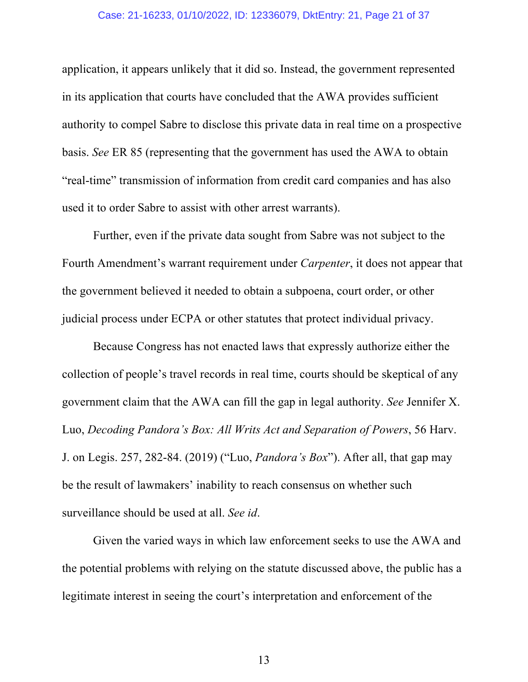#### Case: 21-16233, 01/10/2022, ID: 12336079, DktEntry: 21, Page 21 of 37

application, it appears unlikely that it did so. Instead, the government represented in its application that courts have concluded that the AWA provides sufficient authority to compel Sabre to disclose this private data in real time on a prospective basis. *See* ER 85 (representing that the government has used the AWA to obtain "real-time" transmission of information from credit card companies and has also used it to order Sabre to assist with other arrest warrants).

Further, even if the private data sought from Sabre was not subject to the Fourth Amendment's warrant requirement under *Carpenter*, it does not appear that the government believed it needed to obtain a subpoena, court order, or other judicial process under ECPA or other statutes that protect individual privacy.

Because Congress has not enacted laws that expressly authorize either the collection of people's travel records in real time, courts should be skeptical of any government claim that the AWA can fill the gap in legal authority. *See* Jennifer X. Luo, *Decoding Pandora's Box: All Writs Act and Separation of Powers*, 56 Harv. J. on Legis. 257, 282-84. (2019) ("Luo, *Pandora's Box*"). After all, that gap may be the result of lawmakers' inability to reach consensus on whether such surveillance should be used at all. *See id*.

Given the varied ways in which law enforcement seeks to use the AWA and the potential problems with relying on the statute discussed above, the public has a legitimate interest in seeing the court's interpretation and enforcement of the

13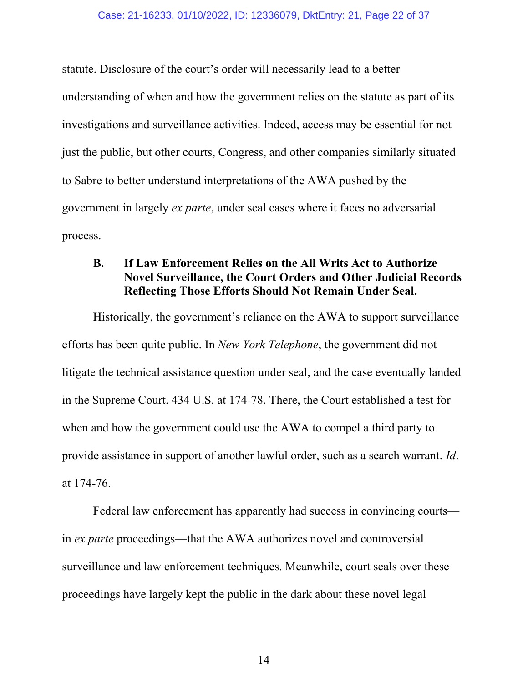statute. Disclosure of the court's order will necessarily lead to a better understanding of when and how the government relies on the statute as part of its investigations and surveillance activities. Indeed, access may be essential for not just the public, but other courts, Congress, and other companies similarly situated to Sabre to better understand interpretations of the AWA pushed by the government in largely *ex parte*, under seal cases where it faces no adversarial process.

### **B. If Law Enforcement Relies on the All Writs Act to Authorize Novel Surveillance, the Court Orders and Other Judicial Records Reflecting Those Efforts Should Not Remain Under Seal.**

Historically, the government's reliance on the AWA to support surveillance efforts has been quite public. In *New York Telephone*, the government did not litigate the technical assistance question under seal, and the case eventually landed in the Supreme Court. 434 U.S. at 174-78. There, the Court established a test for when and how the government could use the AWA to compel a third party to provide assistance in support of another lawful order, such as a search warrant. *Id*. at 174-76.

Federal law enforcement has apparently had success in convincing courts in *ex parte* proceedings—that the AWA authorizes novel and controversial surveillance and law enforcement techniques. Meanwhile, court seals over these proceedings have largely kept the public in the dark about these novel legal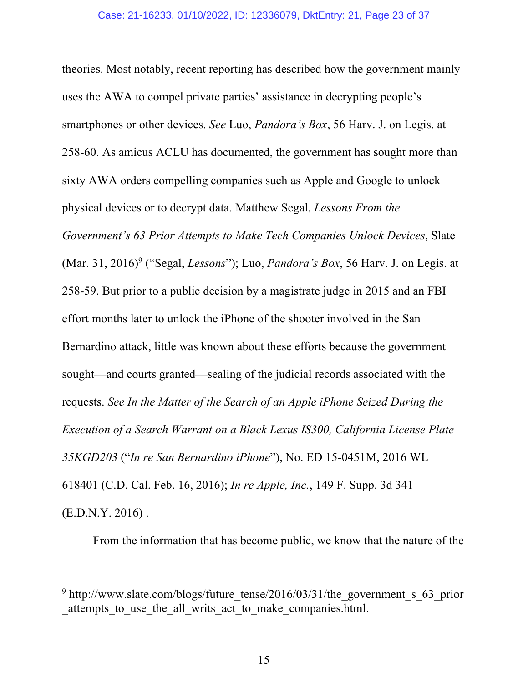theories. Most notably, recent reporting has described how the government mainly uses the AWA to compel private parties' assistance in decrypting people's smartphones or other devices. *See* Luo, *Pandora's Box*, 56 Harv. J. on Legis. at 258-60. As amicus ACLU has documented, the government has sought more than sixty AWA orders compelling companies such as Apple and Google to unlock physical devices or to decrypt data. Matthew Segal, *Lessons From the Government's 63 Prior Attempts to Make Tech Companies Unlock Devices*, Slate (Mar. 31, 2016)<sup>9</sup> ("Segal, *Lessons*"); Luo, *Pandora's Box*, 56 Harv. J. on Legis. at 258-59. But prior to a public decision by a magistrate judge in 2015 and an FBI effort months later to unlock the iPhone of the shooter involved in the San Bernardino attack, little was known about these efforts because the government sought—and courts granted—sealing of the judicial records associated with the requests. *See In the Matter of the Search of an Apple iPhone Seized During the Execution of a Search Warrant on a Black Lexus IS300, California License Plate 35KGD203* ("*In re San Bernardino iPhone*"), No. ED 15-0451M, 2016 WL 618401 (C.D. Cal. Feb. 16, 2016); *In re Apple, Inc.*, 149 F. Supp. 3d 341 (E.D.N.Y. 2016) .

From the information that has become public, we know that the nature of the

<sup>&</sup>lt;sup>9</sup> http://www.slate.com/blogs/future\_tense/2016/03/31/the\_government\_s\_63\_prior attempts to use the all writs act to make companies.html.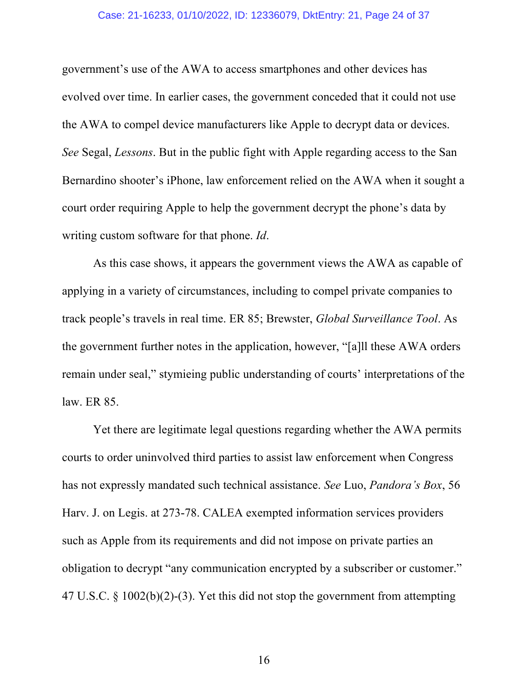#### Case: 21-16233, 01/10/2022, ID: 12336079, DktEntry: 21, Page 24 of 37

government's use of the AWA to access smartphones and other devices has evolved over time. In earlier cases, the government conceded that it could not use the AWA to compel device manufacturers like Apple to decrypt data or devices. *See* Segal, *Lessons*. But in the public fight with Apple regarding access to the San Bernardino shooter's iPhone, law enforcement relied on the AWA when it sought a court order requiring Apple to help the government decrypt the phone's data by writing custom software for that phone. *Id*.

As this case shows, it appears the government views the AWA as capable of applying in a variety of circumstances, including to compel private companies to track people's travels in real time. ER 85; Brewster, *Global Surveillance Tool*. As the government further notes in the application, however, "[a]ll these AWA orders remain under seal," stymieing public understanding of courts' interpretations of the law. ER 85.

Yet there are legitimate legal questions regarding whether the AWA permits courts to order uninvolved third parties to assist law enforcement when Congress has not expressly mandated such technical assistance. *See* Luo, *Pandora's Box*, 56 Harv. J. on Legis. at 273-78. CALEA exempted information services providers such as Apple from its requirements and did not impose on private parties an obligation to decrypt "any communication encrypted by a subscriber or customer." 47 U.S.C. § 1002(b)(2)-(3). Yet this did not stop the government from attempting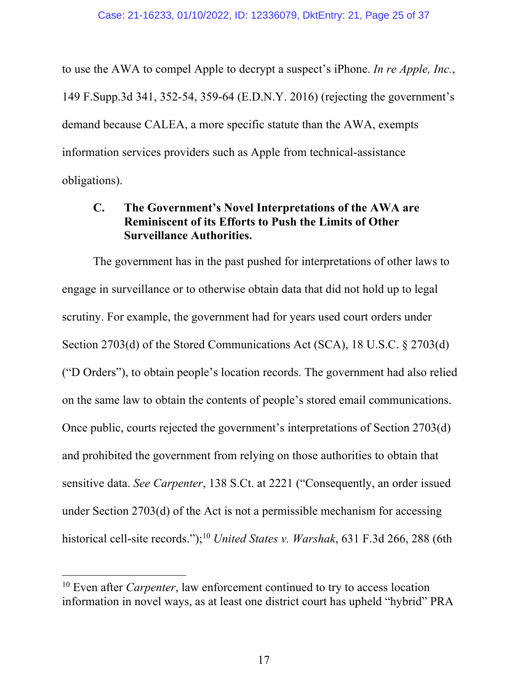to use the AWA to compel Apple to decrypt a suspect's iPhone. *In re Apple, Inc.*, 149 F.Supp.3d 341, 352-54, 359-64 (E.D.N.Y. 2016) (rejecting the government's demand because CALEA, a more specific statute than the AWA, exempts information services providers such as Apple from technical-assistance obligations).

### **C. The Government's Novel Interpretations of the AWA are Reminiscent of its Efforts to Push the Limits of Other Surveillance Authorities.**

The government has in the past pushed for interpretations of other laws to engage in surveillance or to otherwise obtain data that did not hold up to legal scrutiny. For example, the government had for years used court orders under Section 2703(d) of the Stored Communications Act (SCA), 18 U.S.C. § 2703(d) ("D Orders"), to obtain people's location records. The government had also relied on the same law to obtain the contents of people's stored email communications. Once public, courts rejected the government's interpretations of Section 2703(d) and prohibited the government from relying on those authorities to obtain that sensitive data. *See Carpenter*, 138 S.Ct. at 2221 ("Consequently, an order issued under Section 2703(d) of the Act is not a permissible mechanism for accessing historical cell-site records."); <sup>10</sup> *United States v. Warshak*, 631 F.3d 266, 288 (6th

<sup>&</sup>lt;sup>10</sup> Even after *Carpenter*, law enforcement continued to try to access location information in novel ways, as at least one district court has upheld "hybrid" PRA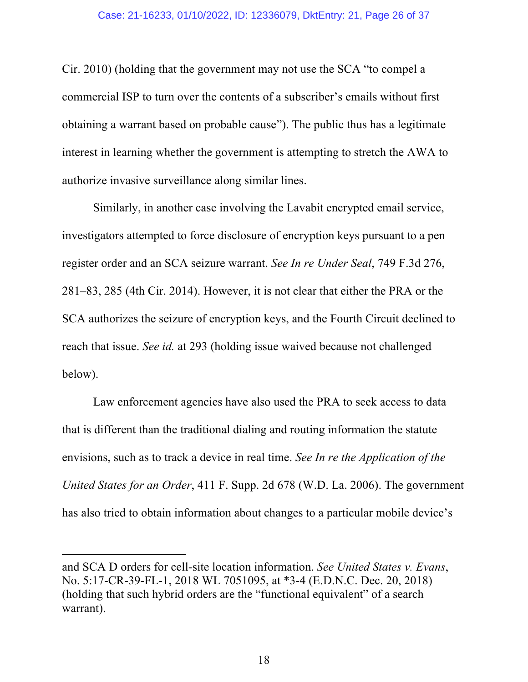Cir. 2010) (holding that the government may not use the SCA "to compel a commercial ISP to turn over the contents of a subscriber's emails without first obtaining a warrant based on probable cause"). The public thus has a legitimate interest in learning whether the government is attempting to stretch the AWA to authorize invasive surveillance along similar lines.

Similarly, in another case involving the Lavabit encrypted email service, investigators attempted to force disclosure of encryption keys pursuant to a pen register order and an SCA seizure warrant. *See In re Under Seal*, 749 F.3d 276, 281–83, 285 (4th Cir. 2014). However, it is not clear that either the PRA or the SCA authorizes the seizure of encryption keys, and the Fourth Circuit declined to reach that issue. *See id.* at 293 (holding issue waived because not challenged below).

Law enforcement agencies have also used the PRA to seek access to data that is different than the traditional dialing and routing information the statute envisions, such as to track a device in real time. *See In re the Application of the United States for an Order*, 411 F. Supp. 2d 678 (W.D. La. 2006). The government has also tried to obtain information about changes to a particular mobile device's

and SCA D orders for cell-site location information. *See United States v. Evans*, No. 5:17-CR-39-FL-1, 2018 WL 7051095, at \*3-4 (E.D.N.C. Dec. 20, 2018) (holding that such hybrid orders are the "functional equivalent" of a search warrant).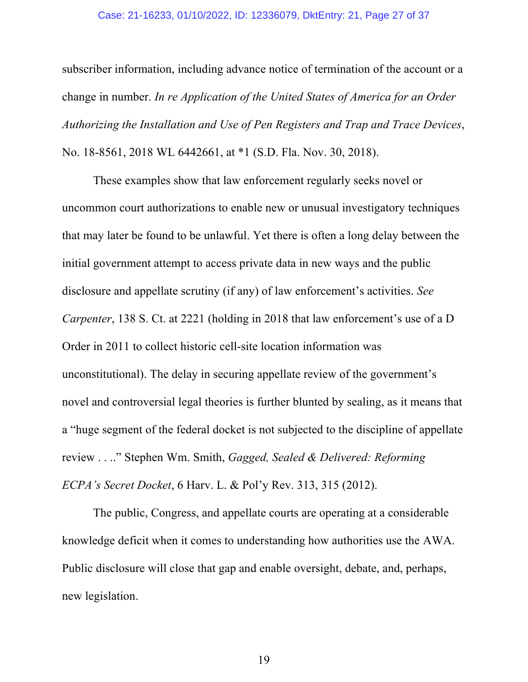#### Case: 21-16233, 01/10/2022, ID: 12336079, DktEntry: 21, Page 27 of 37

subscriber information, including advance notice of termination of the account or a change in number. *In re Application of the United States of America for an Order Authorizing the Installation and Use of Pen Registers and Trap and Trace Devices*, No. 18-8561, 2018 WL 6442661, at \*1 (S.D. Fla. Nov. 30, 2018).

These examples show that law enforcement regularly seeks novel or uncommon court authorizations to enable new or unusual investigatory techniques that may later be found to be unlawful. Yet there is often a long delay between the initial government attempt to access private data in new ways and the public disclosure and appellate scrutiny (if any) of law enforcement's activities. *See Carpenter*, 138 S. Ct. at 2221 (holding in 2018 that law enforcement's use of a D Order in 2011 to collect historic cell-site location information was unconstitutional). The delay in securing appellate review of the government's novel and controversial legal theories is further blunted by sealing, as it means that a "huge segment of the federal docket is not subjected to the discipline of appellate review . . .." Stephen Wm. Smith, *Gagged, Sealed & Delivered: Reforming ECPA's Secret Docket*, 6 Harv. L. & Pol'y Rev. 313, 315 (2012).

The public, Congress, and appellate courts are operating at a considerable knowledge deficit when it comes to understanding how authorities use the AWA. Public disclosure will close that gap and enable oversight, debate, and, perhaps, new legislation.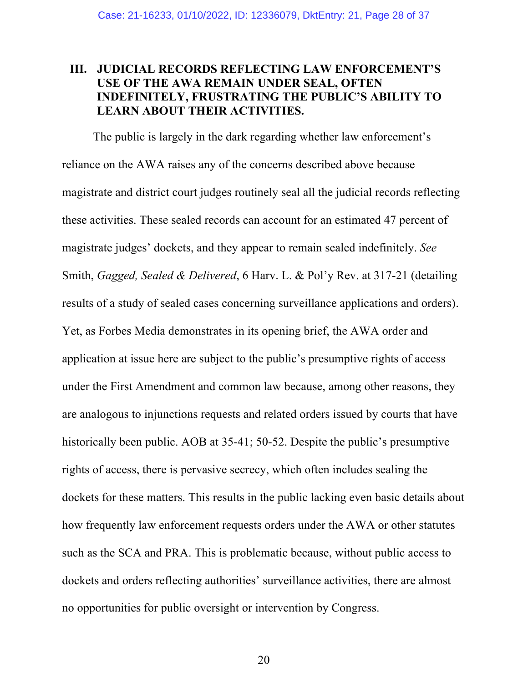### **III. JUDICIAL RECORDS REFLECTING LAW ENFORCEMENT'S USE OF THE AWA REMAIN UNDER SEAL, OFTEN INDEFINITELY, FRUSTRATING THE PUBLIC'S ABILITY TO LEARN ABOUT THEIR ACTIVITIES.**

The public is largely in the dark regarding whether law enforcement's reliance on the AWA raises any of the concerns described above because magistrate and district court judges routinely seal all the judicial records reflecting these activities. These sealed records can account for an estimated 47 percent of magistrate judges' dockets, and they appear to remain sealed indefinitely. *See*  Smith, *Gagged, Sealed & Delivered*, 6 Harv. L. & Pol'y Rev. at 317-21 (detailing results of a study of sealed cases concerning surveillance applications and orders). Yet, as Forbes Media demonstrates in its opening brief, the AWA order and application at issue here are subject to the public's presumptive rights of access under the First Amendment and common law because, among other reasons, they are analogous to injunctions requests and related orders issued by courts that have historically been public. AOB at 35-41; 50-52. Despite the public's presumptive rights of access, there is pervasive secrecy, which often includes sealing the dockets for these matters. This results in the public lacking even basic details about how frequently law enforcement requests orders under the AWA or other statutes such as the SCA and PRA. This is problematic because, without public access to dockets and orders reflecting authorities' surveillance activities, there are almost no opportunities for public oversight or intervention by Congress.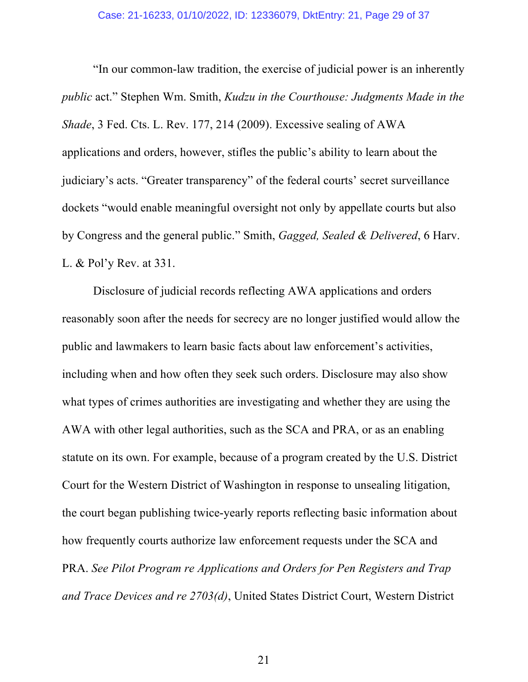"In our common-law tradition, the exercise of judicial power is an inherently *public* act." Stephen Wm. Smith, *Kudzu in the Courthouse: Judgments Made in the Shade*, 3 Fed. Cts. L. Rev. 177, 214 (2009). Excessive sealing of AWA applications and orders, however, stifles the public's ability to learn about the judiciary's acts. "Greater transparency" of the federal courts' secret surveillance dockets "would enable meaningful oversight not only by appellate courts but also by Congress and the general public." Smith, *Gagged, Sealed & Delivered*, 6 Harv. L. & Pol'y Rev. at 331.

Disclosure of judicial records reflecting AWA applications and orders reasonably soon after the needs for secrecy are no longer justified would allow the public and lawmakers to learn basic facts about law enforcement's activities, including when and how often they seek such orders. Disclosure may also show what types of crimes authorities are investigating and whether they are using the AWA with other legal authorities, such as the SCA and PRA, or as an enabling statute on its own. For example, because of a program created by the U.S. District Court for the Western District of Washington in response to unsealing litigation, the court began publishing twice-yearly reports reflecting basic information about how frequently courts authorize law enforcement requests under the SCA and PRA. *See Pilot Program re Applications and Orders for Pen Registers and Trap and Trace Devices and re 2703(d)*, United States District Court, Western District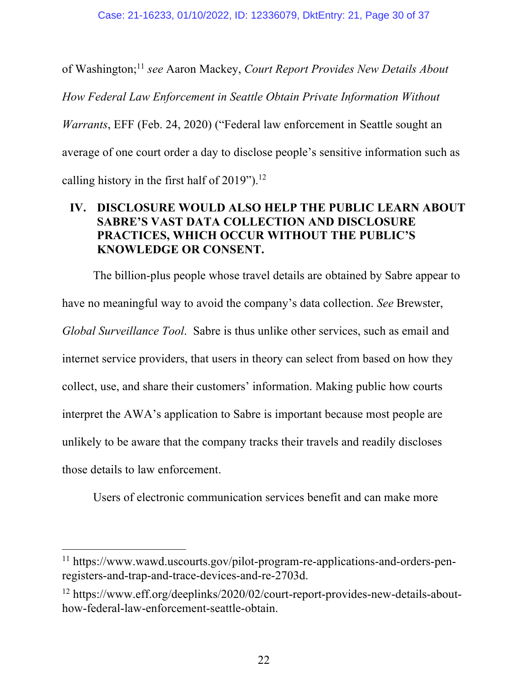of Washington; <sup>11</sup> *see* Aaron Mackey, *Court Report Provides New Details About How Federal Law Enforcement in Seattle Obtain Private Information Without Warrants*, EFF (Feb. 24, 2020) ("Federal law enforcement in Seattle sought an average of one court order a day to disclose people's sensitive information such as calling history in the first half of 2019").<sup>12</sup>

### **IV. DISCLOSURE WOULD ALSO HELP THE PUBLIC LEARN ABOUT SABRE'S VAST DATA COLLECTION AND DISCLOSURE PRACTICES, WHICH OCCUR WITHOUT THE PUBLIC'S KNOWLEDGE OR CONSENT.**

The billion-plus people whose travel details are obtained by Sabre appear to have no meaningful way to avoid the company's data collection. *See* Brewster, *Global Surveillance Tool*. Sabre is thus unlike other services, such as email and internet service providers, that users in theory can select from based on how they collect, use, and share their customers' information. Making public how courts interpret the AWA's application to Sabre is important because most people are unlikely to be aware that the company tracks their travels and readily discloses those details to law enforcement.

Users of electronic communication services benefit and can make more

<sup>11</sup> https://www.wawd.uscourts.gov/pilot-program-re-applications-and-orders-penregisters-and-trap-and-trace-devices-and-re-2703d.

<sup>&</sup>lt;sup>12</sup> https://www.eff.org/deeplinks/2020/02/court-report-provides-new-details-abouthow-federal-law-enforcement-seattle-obtain.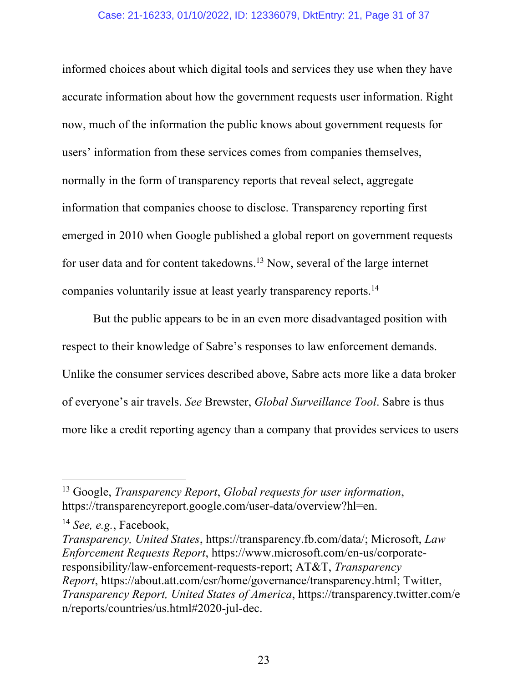#### Case: 21-16233, 01/10/2022, ID: 12336079, DktEntry: 21, Page 31 of 37

informed choices about which digital tools and services they use when they have accurate information about how the government requests user information. Right now, much of the information the public knows about government requests for users' information from these services comes from companies themselves, normally in the form of transparency reports that reveal select, aggregate information that companies choose to disclose. Transparency reporting first emerged in 2010 when Google published a global report on government requests for user data and for content takedowns.<sup>13</sup> Now, several of the large internet companies voluntarily issue at least yearly transparency reports.14

But the public appears to be in an even more disadvantaged position with respect to their knowledge of Sabre's responses to law enforcement demands. Unlike the consumer services described above, Sabre acts more like a data broker of everyone's air travels. *See* Brewster, *Global Surveillance Tool*. Sabre is thus more like a credit reporting agency than a company that provides services to users

<sup>13</sup> Google, *Transparency Report*, *Global requests for user information*, https://transparencyreport.google.com/user-data/overview?hl=en.

<sup>14</sup> *See, e.g.*, Facebook,

*Transparency, United States*, https://transparency.fb.com/data/; Microsoft, *Law Enforcement Requests Report*, https://www.microsoft.com/en-us/corporateresponsibility/law-enforcement-requests-report; AT&T, *Transparency Report*, https://about.att.com/csr/home/governance/transparency.html; Twitter, *Transparency Report, United States of America*, https://transparency.twitter.com/e n/reports/countries/us.html#2020-jul-dec.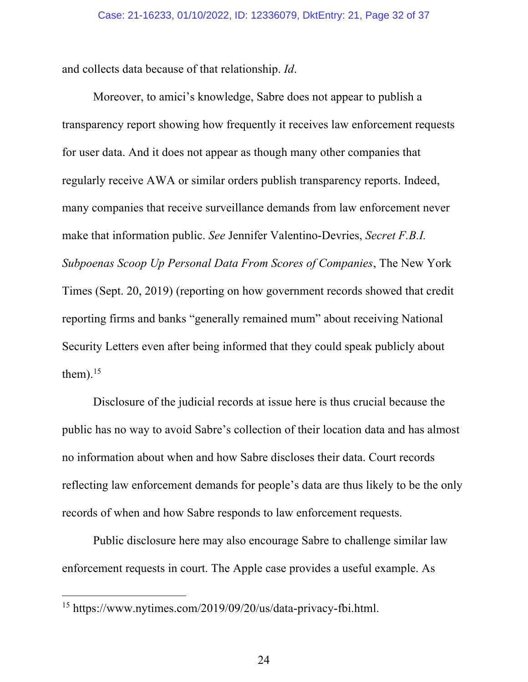and collects data because of that relationship. *Id*.

Moreover, to amici's knowledge, Sabre does not appear to publish a transparency report showing how frequently it receives law enforcement requests for user data. And it does not appear as though many other companies that regularly receive AWA or similar orders publish transparency reports. Indeed, many companies that receive surveillance demands from law enforcement never make that information public. *See* Jennifer Valentino-Devries, *Secret F.B.I. Subpoenas Scoop Up Personal Data From Scores of Companies*, The New York Times (Sept. 20, 2019) (reporting on how government records showed that credit reporting firms and banks "generally remained mum" about receiving National Security Letters even after being informed that they could speak publicly about them). $15$ 

Disclosure of the judicial records at issue here is thus crucial because the public has no way to avoid Sabre's collection of their location data and has almost no information about when and how Sabre discloses their data. Court records reflecting law enforcement demands for people's data are thus likely to be the only records of when and how Sabre responds to law enforcement requests.

Public disclosure here may also encourage Sabre to challenge similar law enforcement requests in court. The Apple case provides a useful example. As

<sup>15</sup> https://www.nytimes.com/2019/09/20/us/data-privacy-fbi.html.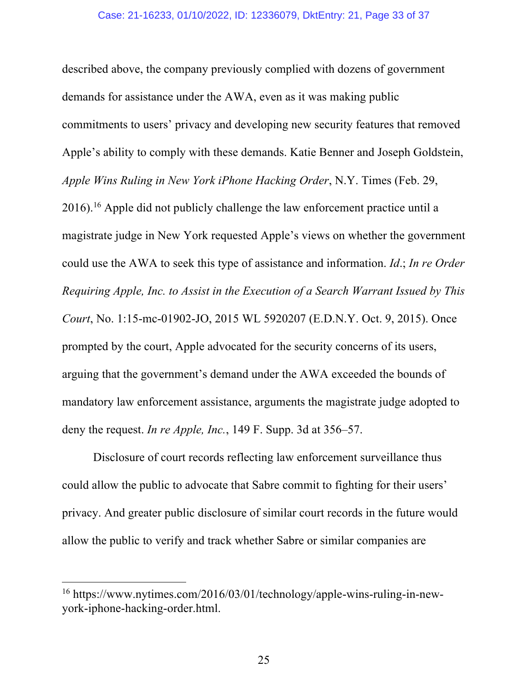described above, the company previously complied with dozens of government demands for assistance under the AWA, even as it was making public commitments to users' privacy and developing new security features that removed Apple's ability to comply with these demands. Katie Benner and Joseph Goldstein, *Apple Wins Ruling in New York iPhone Hacking Order*, N.Y. Times (Feb. 29, 2016).<sup>16</sup> Apple did not publicly challenge the law enforcement practice until a magistrate judge in New York requested Apple's views on whether the government could use the AWA to seek this type of assistance and information. *Id*.; *In re Order Requiring Apple, Inc. to Assist in the Execution of a Search Warrant Issued by This Court*, No. 1:15-mc-01902-JO, 2015 WL 5920207 (E.D.N.Y. Oct. 9, 2015). Once prompted by the court, Apple advocated for the security concerns of its users, arguing that the government's demand under the AWA exceeded the bounds of mandatory law enforcement assistance, arguments the magistrate judge adopted to deny the request. *In re Apple, Inc.*, 149 F. Supp. 3d at 356–57.

Disclosure of court records reflecting law enforcement surveillance thus could allow the public to advocate that Sabre commit to fighting for their users' privacy. And greater public disclosure of similar court records in the future would allow the public to verify and track whether Sabre or similar companies are

<sup>16</sup> https://www.nytimes.com/2016/03/01/technology/apple-wins-ruling-in-newyork-iphone-hacking-order.html.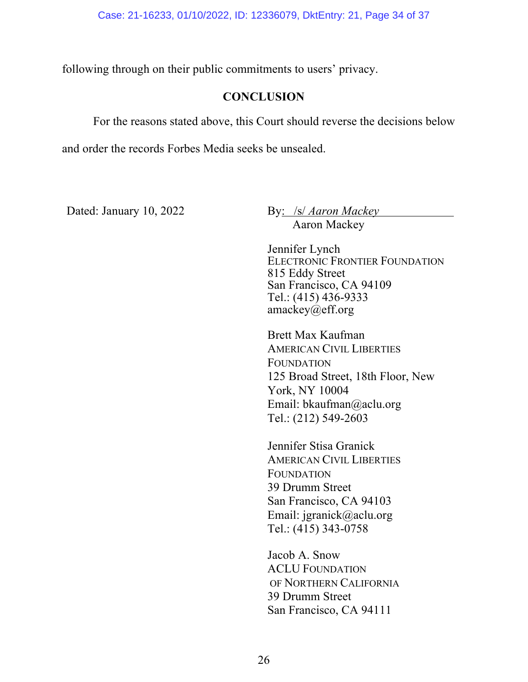following through on their public commitments to users' privacy.

#### **CONCLUSION**

For the reasons stated above, this Court should reverse the decisions below

and order the records Forbes Media seeks be unsealed.

Dated: January 10, 2022 By: /s/ *Aaron Mackey* 

Aaron Mackey

Jennifer Lynch ELECTRONIC FRONTIER FOUNDATION 815 Eddy Street San Francisco, CA 94109 Tel.: (415) 436-9333 amackey $(a)$ eff.org

Brett Max Kaufman AMERICAN CIVIL LIBERTIES **FOUNDATION** 125 Broad Street, 18th Floor, New York, NY 10004 Email: bkaufman@aclu.org Tel.: (212) 549-2603

Jennifer Stisa Granick AMERICAN CIVIL LIBERTIES FOUNDATION 39 Drumm Street San Francisco, CA 94103 Email: jgranick@aclu.org Tel.: (415) 343-0758

Jacob A. Snow ACLU FOUNDATION OF NORTHERN CALIFORNIA 39 Drumm Street San Francisco, CA 94111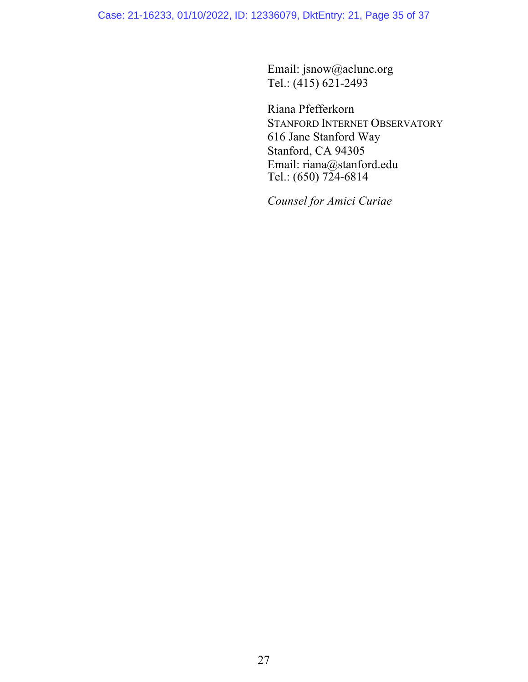Case: 21-16233, 01/10/2022, ID: 12336079, DktEntry: 21, Page 35 of 37

Email: jsnow@aclunc.org Tel.: (415) 621-2493

Riana Pfefferkorn STANFORD INTERNET OBSERVATORY 616 Jane Stanford Way Stanford, CA 94305 Email: riana@stanford.edu Tel.: (650) 724-6814

*Counsel for Amici Curiae*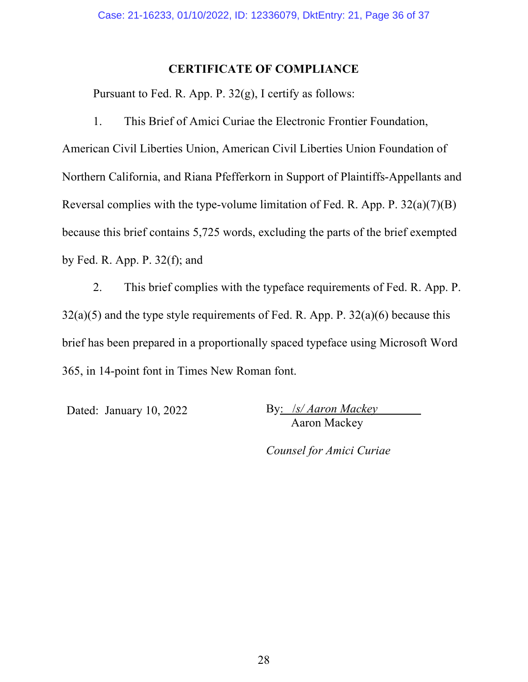#### **CERTIFICATE OF COMPLIANCE**

Pursuant to Fed. R. App. P. 32(g), I certify as follows:

1. This Brief of Amici Curiae the Electronic Frontier Foundation,

American Civil Liberties Union, American Civil Liberties Union Foundation of Northern California, and Riana Pfefferkorn in Support of Plaintiffs-Appellants and Reversal complies with the type-volume limitation of Fed. R. App. P. 32(a)(7)(B) because this brief contains 5,725 words, excluding the parts of the brief exempted by Fed. R. App. P. 32(f); and

2. This brief complies with the typeface requirements of Fed. R. App. P.  $32(a)(5)$  and the type style requirements of Fed. R. App. P.  $32(a)(6)$  because this brief has been prepared in a proportionally spaced typeface using Microsoft Word 365, in 14-point font in Times New Roman font.

Dated: January 10, 2022 By: /*s/ Aaron Mackey* Aaron Mackey

*Counsel for Amici Curiae*